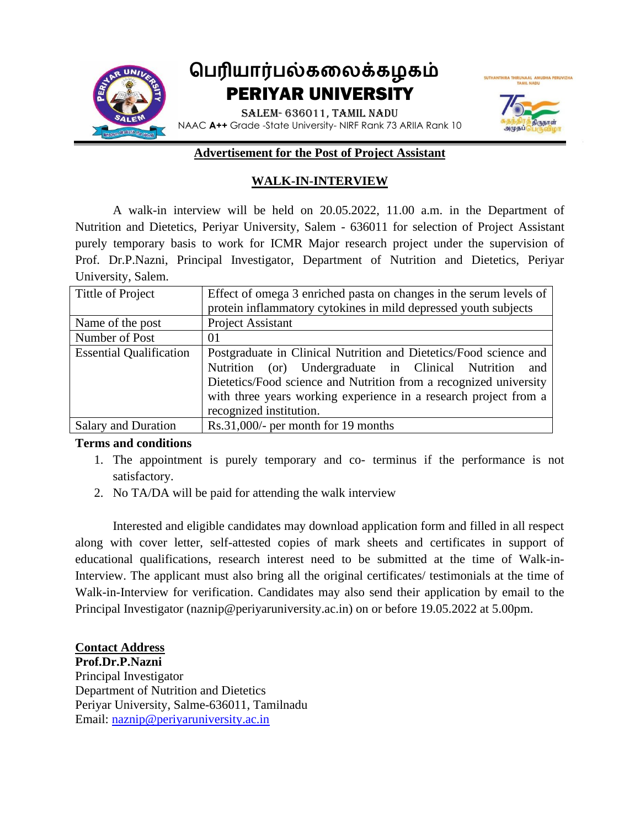

#### **Advertisement for the Post of Project Assistant**

## **WALK-IN-INTERVIEW**

A walk-in interview will be held on 20.05.2022, 11.00 a.m. in the Department of Nutrition and Dietetics, Periyar University, Salem - 636011 for selection of Project Assistant purely temporary basis to work for ICMR Major research project under the supervision of Prof. Dr.P.Nazni, Principal Investigator, Department of Nutrition and Dietetics, Periyar University, Salem.

| Tittle of Project              | Effect of omega 3 enriched pasta on changes in the serum levels of<br>protein inflammatory cytokines in mild depressed youth subjects                                                                                                                                                              |  |  |  |
|--------------------------------|----------------------------------------------------------------------------------------------------------------------------------------------------------------------------------------------------------------------------------------------------------------------------------------------------|--|--|--|
| Name of the post               | <b>Project Assistant</b>                                                                                                                                                                                                                                                                           |  |  |  |
| Number of Post                 | 01                                                                                                                                                                                                                                                                                                 |  |  |  |
| <b>Essential Qualification</b> | Postgraduate in Clinical Nutrition and Dietetics/Food science and<br>Nutrition (or) Undergraduate in Clinical Nutrition<br>and<br>Dietetics/Food science and Nutrition from a recognized university<br>with three years working experience in a research project from a<br>recognized institution. |  |  |  |
| <b>Salary and Duration</b>     | $Rs.31,000/$ - per month for 19 months                                                                                                                                                                                                                                                             |  |  |  |

## **Terms and conditions**

- 1. The appointment is purely temporary and co- terminus if the performance is not satisfactory.
- 2. No TA/DA will be paid for attending the walk interview

Interested and eligible candidates may download application form and filled in all respect along with cover letter, self-attested copies of mark sheets and certificates in support of educational qualifications, research interest need to be submitted at the time of Walk-in-Interview. The applicant must also bring all the original certificates/ testimonials at the time of Walk-in-Interview for verification. Candidates may also send their application by email to the Principal Investigator (naznip@periyaruniversity.ac.in) on or before 19.05.2022 at 5.00pm.

## **Contact Address**

**Prof.Dr.P.Nazni** Principal Investigator Department of Nutrition and Dietetics Periyar University, Salme-636011, Tamilnadu Email: [naznip@periyaruniversity.ac.in](mailto:naznip@periyaruniversity.ac.in)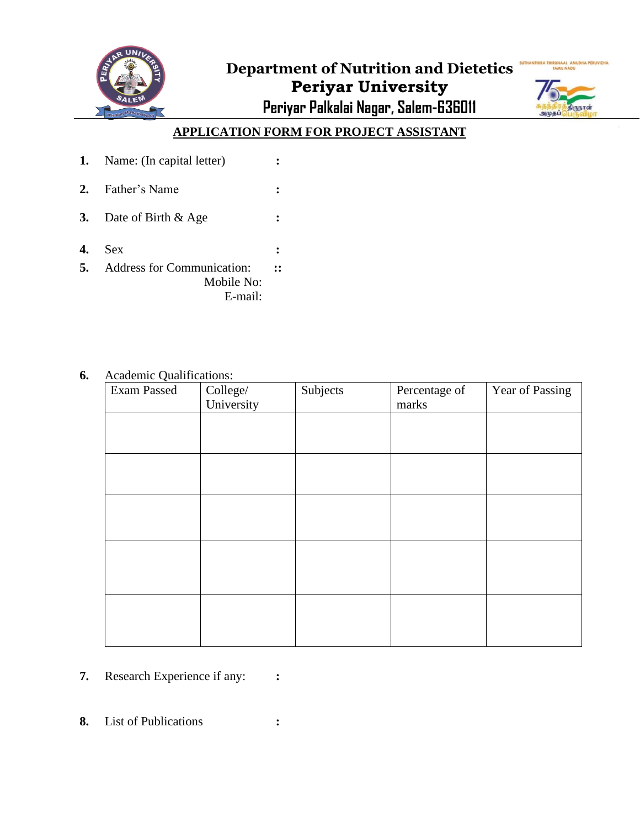



# **APPLICATION FORM FOR PROJECT ASSISTANT**

**1.** Name: (In capital letter) **: 2.** Father's Name **: 3.** Date of Birth & Age **: 4.** Sex **: 5.** Address for Communication: Mobile No: **::**

E-mail:

## **6.** Academic Qualifications:

| Exam Passed | College/<br>University | Subjects | Percentage of<br>marks | Year of Passing |
|-------------|------------------------|----------|------------------------|-----------------|
|             |                        |          |                        |                 |
|             |                        |          |                        |                 |
|             |                        |          |                        |                 |
|             |                        |          |                        |                 |
|             |                        |          |                        |                 |
|             |                        |          |                        |                 |
|             |                        |          |                        |                 |
|             |                        |          |                        |                 |
|             |                        |          |                        |                 |

- **7.** Research Experience if any: **:**
- **8.** List of Publications **:**